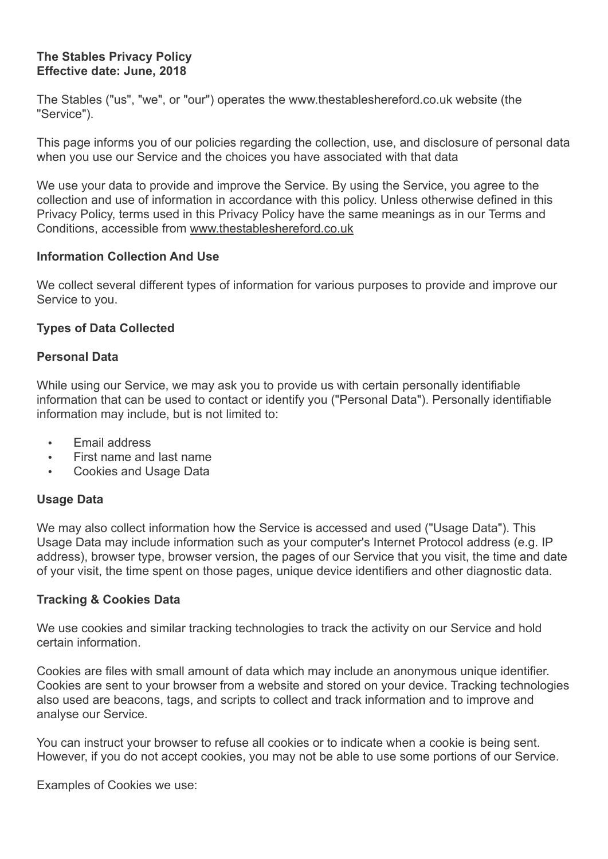#### **The Stables Privacy Policy Effective date: June, 2018**

The Stables ("us", "we", or "our") operates the www.thestableshereford.co.uk website (the "Service").

This page informs you of our policies regarding the collection, use, and disclosure of personal data when you use our Service and the choices you have associated with that data

We use your data to provide and improve the Service. By using the Service, you agree to the collection and use of information in accordance with this policy. Unless otherwise defined in this Privacy Policy, terms used in this Privacy Policy have the same meanings as in our Terms and Conditions, accessible from [www.thestableshereford.co.uk](http://www.thestableshereford.co.uk)

#### **Information Collection And Use**

We collect several different types of information for various purposes to provide and improve our Service to you.

# **Types of Data Collected**

### **Personal Data**

While using our Service, we may ask you to provide us with certain personally identifiable information that can be used to contact or identify you ("Personal Data"). Personally identifiable information may include, but is not limited to:

- Email address
- First name and last name
- Cookies and Usage Data

### **Usage Data**

We may also collect information how the Service is accessed and used ("Usage Data"). This Usage Data may include information such as your computer's Internet Protocol address (e.g. IP address), browser type, browser version, the pages of our Service that you visit, the time and date of your visit, the time spent on those pages, unique device identifiers and other diagnostic data.

### **Tracking & Cookies Data**

We use cookies and similar tracking technologies to track the activity on our Service and hold certain information.

Cookies are files with small amount of data which may include an anonymous unique identifier. Cookies are sent to your browser from a website and stored on your device. Tracking technologies also used are beacons, tags, and scripts to collect and track information and to improve and analyse our Service.

You can instruct your browser to refuse all cookies or to indicate when a cookie is being sent. However, if you do not accept cookies, you may not be able to use some portions of our Service.

Examples of Cookies we use: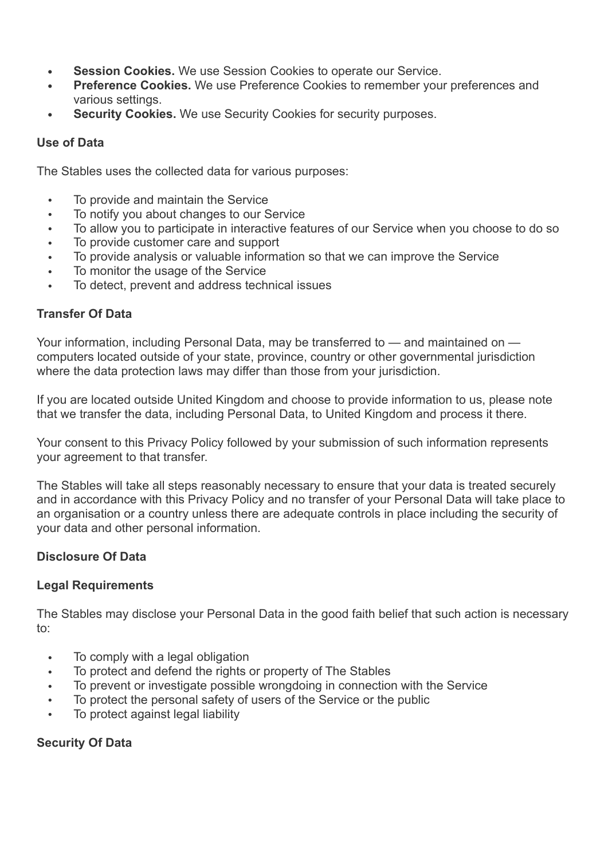- **• Session Cookies.** We use Session Cookies to operate our Service.
- **• Preference Cookies.** We use Preference Cookies to remember your preferences and various settings.
- **• Security Cookies.** We use Security Cookies for security purposes.

## **Use of Data**

The Stables uses the collected data for various purposes:

- To provide and maintain the Service
- To notify you about changes to our Service
- To allow you to participate in interactive features of our Service when you choose to do so
- To provide customer care and support
- To provide analysis or valuable information so that we can improve the Service
- To monitor the usage of the Service
- To detect, prevent and address technical issues

# **Transfer Of Data**

Your information, including Personal Data, may be transferred to — and maintained on computers located outside of your state, province, country or other governmental jurisdiction where the data protection laws may differ than those from your jurisdiction.

If you are located outside United Kingdom and choose to provide information to us, please note that we transfer the data, including Personal Data, to United Kingdom and process it there.

Your consent to this Privacy Policy followed by your submission of such information represents your agreement to that transfer.

The Stables will take all steps reasonably necessary to ensure that your data is treated securely and in accordance with this Privacy Policy and no transfer of your Personal Data will take place to an organisation or a country unless there are adequate controls in place including the security of your data and other personal information.

### **Disclosure Of Data**

### **Legal Requirements**

The Stables may disclose your Personal Data in the good faith belief that such action is necessary to:

- To comply with a legal obligation
- To protect and defend the rights or property of The Stables
- To prevent or investigate possible wrongdoing in connection with the Service
- To protect the personal safety of users of the Service or the public
- To protect against legal liability

### **Security Of Data**